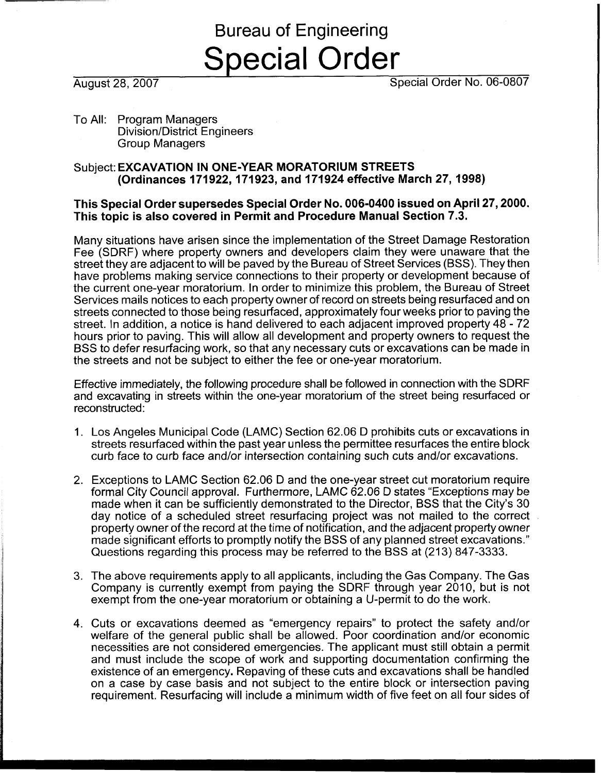# Bureau of Engineering Special Order

August 28,2007 Special Order No. 06-0807

To All: Program Managers Division/District Engineers Group Managers

#### Subject: **EXCAVATION IN ONE-YEAR MORATORIUM STREETS (Ordinances 171922,171923, and 171924 effective March 27,1998)**

### **This Special Order supersedes Special Order No. 006-0400 issued on April 27,2000. This topic is also covered in Permit and Procedure Manual Section 7.3.**

Many situations have arisen since the implementation of the Street Damage Restoration Fee (SDRF) where property owners and developers claim they were unaware that the street they are adjacent to will be paved by the Bureau of Street Services (BSS). They then have problems making service connections to their property or development because of the current one-year moratorium. In order to minimize this problem, the Bureau of Street Services mails notices to each property owner of record on streets being resurfaced and on streets connected to those being resurfaced, approximately four weeks prior to paving the street. In addition, a notice is hand delivered to each adjacent improved property 48 - 72 hours prior to paving. This will allow all development and property owners to request the BSS to defer resurfacing work, so that any necessary cuts or excavations can be made in the streets and not be subject to either the fee or one-year moratorium.

Effective immediately, the following procedure shall be followed in connection with the SDRF and excavating in streets within the one-year moratorium of the street being resurfaced or reconstructed:

- 1. Los Angeles Municipal Code (LAMC) Section 62.06 D prohibits cuts or excavations in streets resurfaced within the past year unless the permittee resurfaces the entire block curb face to curb face and/or intersection containing such cuts and/or excavations.
- 2. Exceptions to LAMC Section 62.06 D and the one-year street cut moratorium require formal City Council approval. Furthermore, LAMC 62.06 D states "Exceptions may be made when it can be sufficiently demonstrated to the Director, BSS that the City's 30 day notice of a scheduled street resurfacing project was not mailed to the correct property owner of the record at the time of notification, and the adjacent property owner made significant efforts to promptly notify the BSS of any planned street excavations." Questions regarding this process may be referred to the BSS at (213) 847-3333.
- 3. The above requirements apply to all applicants, including the Gas Company. The Gas Company is currently exempt from paying the SDRF through year 2010, but is not exempt from the one-year moratorium or obtaining a U-permit to do the work.
- 4. Cuts or excavations deemed as "emergency repairs" to protect the safety and/or welfare of the general public shall be allowed. Poor coordination and/or economic necessities are not considered emergencies. The applicant must still obtain a permit and must include the scope of work and supporting documentation confirming the existence of an emergency. Repaving of these cuts and excavations shall be handled on a case by case basis and not subject to the entire block or intersection paving requirement. Resurfacing will include a minimum width of five feet on all four sides of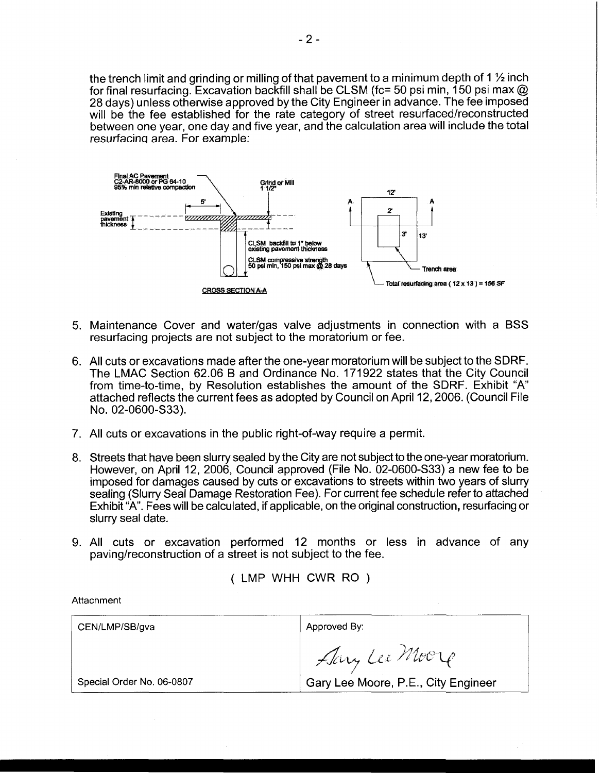the trench limit and grinding or milling of that pavement to a minimum depth of 1 **1/2** inch for final resurfacing. Excavation backfill shall be CLSM (fc= 50 psi min, 150 psi max  $@$ 28 days) unless otherwise approved by the City Engineer in advance. The fee imposed will be the fee established for the rate category of street resurfaced/reconstructed between one year, one day and five year, and the calculation area will include the total resurfacing area. For example:



- 5. Maintenance Cover and waterlgas valve adjustments in connection with a BSS resurfacing projects are not subject to the moratorium or fee.
- 6. All cuts or excavations made after the one-year moratorium will be subject to the SDRF. The LMAC Section 62.06 B and Ordinance No. 171922 states that the City Council from time-to-time, by Resolution establishes the amount of the SDRF. Exhibit "A attached reflects the current fees as adopted by Council on April 12,2006. (Council File NO. 02-0600-S33).
- 7. All cuts or excavations in the public right-of-way require a permit.
- 8. Streets that have been slurry sealed by the City are not subject to the one-year moratorium. However, on April 12, 2006, Council approved (File No. 02-0600-S33) a new fee to be imposed for damages caused by cuts or excavations to streets within two years of slurry sealing (Slurry Seal Damage Restoration Fee). For current fee schedule refer to attached Exhibit "A". Fees will be calculated, if applicable, on the original construction, resurfacing or slurry seal date.
- 9. All cuts or excavation performed 12 months or less in advance of any paving/reconstruction of a street is not subject to the fee.

( LMP WHH CWR RO )

Attachment

| CEN/LMP/SB/gva            | Approved By:                        |
|---------------------------|-------------------------------------|
|                           | Any Lee Moore                       |
| Special Order No. 06-0807 | Gary Lee Moore, P.E., City Engineer |